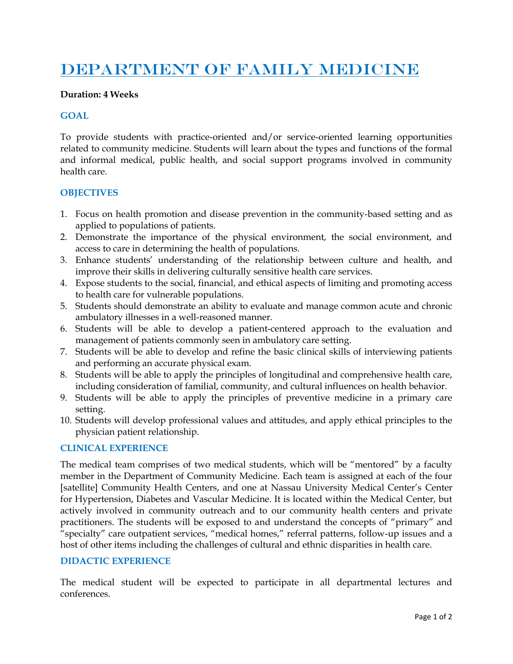# DEPARTMENT OF FAMILY MEDICINE

#### **Duration: 4 Weeks**

#### **GOAL**

To provide students with practice-oriented and/or service-oriented learning opportunities related to community medicine. Students will learn about the types and functions of the formal and informal medical, public health, and social support programs involved in community health care.

#### **OBJECTIVES**

- 1. Focus on health promotion and disease prevention in the community-based setting and as applied to populations of patients.
- 2. Demonstrate the importance of the physical environment, the social environment, and access to care in determining the health of populations.
- 3. Enhance students' understanding of the relationship between culture and health, and improve their skills in delivering culturally sensitive health care services.
- 4. Expose students to the social, financial, and ethical aspects of limiting and promoting access to health care for vulnerable populations.
- 5. Students should demonstrate an ability to evaluate and manage common acute and chronic ambulatory illnesses in a well-reasoned manner.
- 6. Students will be able to develop a patient-centered approach to the evaluation and management of patients commonly seen in ambulatory care setting.
- 7. Students will be able to develop and refine the basic clinical skills of interviewing patients and performing an accurate physical exam.
- 8. Students will be able to apply the principles of longitudinal and comprehensive health care, including consideration of familial, community, and cultural influences on health behavior.
- 9. Students will be able to apply the principles of preventive medicine in a primary care setting.
- 10. Students will develop professional values and attitudes, and apply ethical principles to the physician patient relationship.

#### **CLINICAL EXPERIENCE**

The medical team comprises of two medical students, which will be "mentored" by a faculty member in the Department of Community Medicine. Each team is assigned at each of the four [satellite] Community Health Centers, and one at Nassau University Medical Center's Center for Hypertension, Diabetes and Vascular Medicine. It is located within the Medical Center, but actively involved in community outreach and to our community health centers and private practitioners. The students will be exposed to and understand the concepts of "primary" and "specialty" care outpatient services, "medical homes," referral patterns, follow-up issues and a host of other items including the challenges of cultural and ethnic disparities in health care.

#### **DIDACTIC EXPERIENCE**

The medical student will be expected to participate in all departmental lectures and conferences.